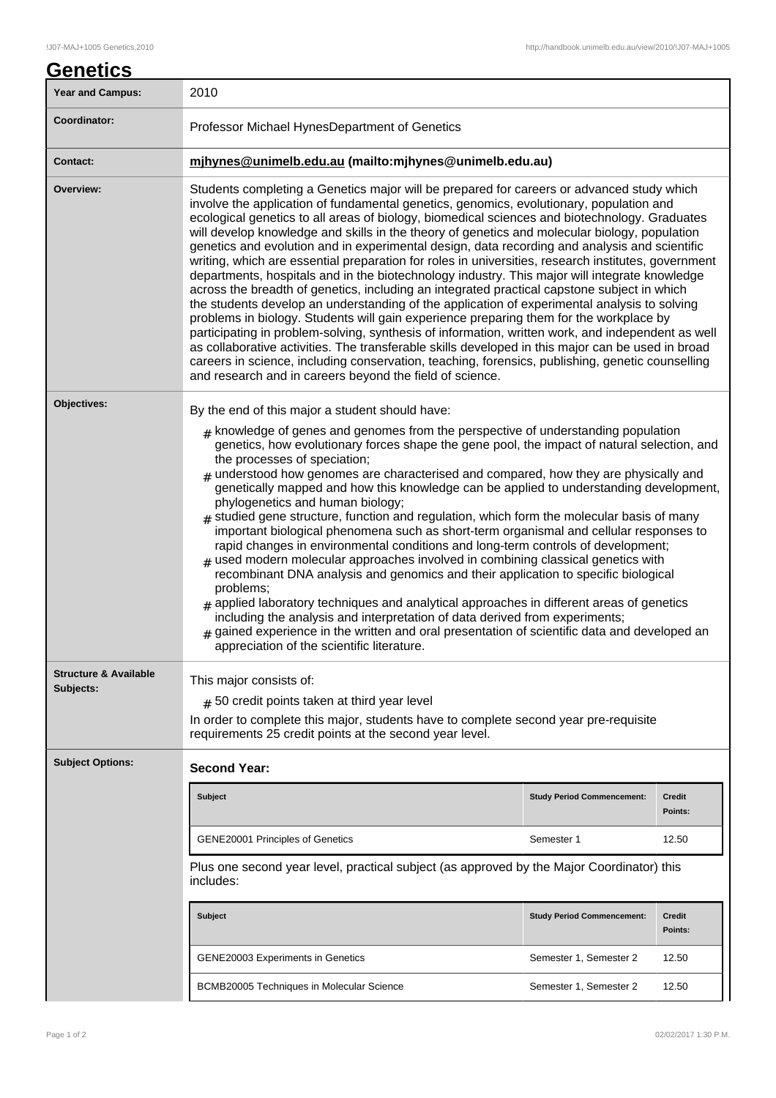| <u>Genetics</u>                                 |                                                                                                                                                                                                                                                                                                                                                                                                                                                                                                                                                                                                                                                                                                                                                                                                                                                                                                                                                                                                                                                                                                                                                                                                                                                                                                                                                                    |                                   |                          |  |
|-------------------------------------------------|--------------------------------------------------------------------------------------------------------------------------------------------------------------------------------------------------------------------------------------------------------------------------------------------------------------------------------------------------------------------------------------------------------------------------------------------------------------------------------------------------------------------------------------------------------------------------------------------------------------------------------------------------------------------------------------------------------------------------------------------------------------------------------------------------------------------------------------------------------------------------------------------------------------------------------------------------------------------------------------------------------------------------------------------------------------------------------------------------------------------------------------------------------------------------------------------------------------------------------------------------------------------------------------------------------------------------------------------------------------------|-----------------------------------|--------------------------|--|
| <b>Year and Campus:</b>                         | 2010                                                                                                                                                                                                                                                                                                                                                                                                                                                                                                                                                                                                                                                                                                                                                                                                                                                                                                                                                                                                                                                                                                                                                                                                                                                                                                                                                               |                                   |                          |  |
| Coordinator:                                    | Professor Michael HynesDepartment of Genetics                                                                                                                                                                                                                                                                                                                                                                                                                                                                                                                                                                                                                                                                                                                                                                                                                                                                                                                                                                                                                                                                                                                                                                                                                                                                                                                      |                                   |                          |  |
| <b>Contact:</b>                                 | mjhynes@unimelb.edu.au (mailto:mjhynes@unimelb.edu.au)                                                                                                                                                                                                                                                                                                                                                                                                                                                                                                                                                                                                                                                                                                                                                                                                                                                                                                                                                                                                                                                                                                                                                                                                                                                                                                             |                                   |                          |  |
| Overview:                                       | Students completing a Genetics major will be prepared for careers or advanced study which<br>involve the application of fundamental genetics, genomics, evolutionary, population and<br>ecological genetics to all areas of biology, biomedical sciences and biotechnology. Graduates<br>will develop knowledge and skills in the theory of genetics and molecular biology, population<br>genetics and evolution and in experimental design, data recording and analysis and scientific<br>writing, which are essential preparation for roles in universities, research institutes, government<br>departments, hospitals and in the biotechnology industry. This major will integrate knowledge<br>across the breadth of genetics, including an integrated practical capstone subject in which<br>the students develop an understanding of the application of experimental analysis to solving<br>problems in biology. Students will gain experience preparing them for the workplace by<br>participating in problem-solving, synthesis of information, written work, and independent as well<br>as collaborative activities. The transferable skills developed in this major can be used in broad<br>careers in science, including conservation, teaching, forensics, publishing, genetic counselling<br>and research and in careers beyond the field of science. |                                   |                          |  |
| Objectives:<br><b>Structure &amp; Available</b> | By the end of this major a student should have:<br>$#$ knowledge of genes and genomes from the perspective of understanding population<br>genetics, how evolutionary forces shape the gene pool, the impact of natural selection, and<br>the processes of speciation;<br>$#$ understood how genomes are characterised and compared, how they are physically and<br>genetically mapped and how this knowledge can be applied to understanding development,<br>phylogenetics and human biology;<br>$#$ studied gene structure, function and regulation, which form the molecular basis of many<br>important biological phenomena such as short-term organismal and cellular responses to<br>rapid changes in environmental conditions and long-term controls of development;<br>$#$ used modern molecular approaches involved in combining classical genetics with<br>recombinant DNA analysis and genomics and their application to specific biological<br>problems;<br>$#$ applied laboratory techniques and analytical approaches in different areas of genetics<br>including the analysis and interpretation of data derived from experiments;<br>$#$ gained experience in the written and oral presentation of scientific data and developed an<br>appreciation of the scientific literature.                                                                   |                                   |                          |  |
| Subjects:                                       | This major consists of:<br>$#$ 50 credit points taken at third year level<br>In order to complete this major, students have to complete second year pre-requisite<br>requirements 25 credit points at the second year level.                                                                                                                                                                                                                                                                                                                                                                                                                                                                                                                                                                                                                                                                                                                                                                                                                                                                                                                                                                                                                                                                                                                                       |                                   |                          |  |
| <b>Subject Options:</b>                         | <b>Second Year:</b>                                                                                                                                                                                                                                                                                                                                                                                                                                                                                                                                                                                                                                                                                                                                                                                                                                                                                                                                                                                                                                                                                                                                                                                                                                                                                                                                                |                                   |                          |  |
|                                                 | <b>Subject</b>                                                                                                                                                                                                                                                                                                                                                                                                                                                                                                                                                                                                                                                                                                                                                                                                                                                                                                                                                                                                                                                                                                                                                                                                                                                                                                                                                     | <b>Study Period Commencement:</b> | <b>Credit</b><br>Points: |  |
|                                                 | <b>GENE20001 Principles of Genetics</b>                                                                                                                                                                                                                                                                                                                                                                                                                                                                                                                                                                                                                                                                                                                                                                                                                                                                                                                                                                                                                                                                                                                                                                                                                                                                                                                            | Semester 1                        | 12.50                    |  |
|                                                 | Plus one second year level, practical subject (as approved by the Major Coordinator) this<br>includes:                                                                                                                                                                                                                                                                                                                                                                                                                                                                                                                                                                                                                                                                                                                                                                                                                                                                                                                                                                                                                                                                                                                                                                                                                                                             |                                   |                          |  |
|                                                 | <b>Subject</b>                                                                                                                                                                                                                                                                                                                                                                                                                                                                                                                                                                                                                                                                                                                                                                                                                                                                                                                                                                                                                                                                                                                                                                                                                                                                                                                                                     | <b>Study Period Commencement:</b> | <b>Credit</b><br>Points: |  |
|                                                 | GENE20003 Experiments in Genetics                                                                                                                                                                                                                                                                                                                                                                                                                                                                                                                                                                                                                                                                                                                                                                                                                                                                                                                                                                                                                                                                                                                                                                                                                                                                                                                                  | Semester 1, Semester 2            | 12.50                    |  |
|                                                 | BCMB20005 Techniques in Molecular Science                                                                                                                                                                                                                                                                                                                                                                                                                                                                                                                                                                                                                                                                                                                                                                                                                                                                                                                                                                                                                                                                                                                                                                                                                                                                                                                          | Semester 1, Semester 2            | 12.50                    |  |